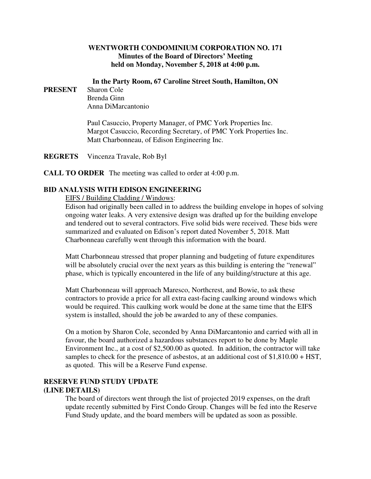### **WENTWORTH CONDOMINIUM CORPORATION NO. 171 Minutes of the Board of Directors' Meeting held on Monday, November 5, 2018 at 4:00 p.m.**

#### **In the Party Room, 67 Caroline Street South, Hamilton, ON**

**PRESENT** Sharon Cole Brenda Ginn Anna DiMarcantonio

> Paul Casuccio, Property Manager, of PMC York Properties Inc. Margot Casuccio, Recording Secretary, of PMC York Properties Inc. Matt Charbonneau, of Edison Engineering Inc.

**REGRETS** Vincenza Travale, Rob Byl

**CALL TO ORDER** The meeting was called to order at 4:00 p.m.

## **BID ANALYSIS WITH EDISON ENGINEERING**

#### EIFS / Building Cladding / Windows:

Edison had originally been called in to address the building envelope in hopes of solving ongoing water leaks. A very extensive design was drafted up for the building envelope and tendered out to several contractors. Five solid bids were received. These bids were summarized and evaluated on Edison's report dated November 5, 2018. Matt Charbonneau carefully went through this information with the board.

Matt Charbonneau stressed that proper planning and budgeting of future expenditures will be absolutely crucial over the next years as this building is entering the "renewal" phase, which is typically encountered in the life of any building/structure at this age.

Matt Charbonneau will approach Maresco, Northcrest, and Bowie, to ask these contractors to provide a price for all extra east-facing caulking around windows which would be required. This caulking work would be done at the same time that the EIFS system is installed, should the job be awarded to any of these companies.

On a motion by Sharon Cole, seconded by Anna DiMarcantonio and carried with all in favour, the board authorized a hazardous substances report to be done by Maple Environment Inc., at a cost of \$2,500.00 as quoted. In addition, the contractor will take samples to check for the presence of asbestos, at an additional cost of \$1,810.00 + HST, as quoted. This will be a Reserve Fund expense.

#### **RESERVE FUND STUDY UPDATE (LINE DETAILS)**

The board of directors went through the list of projected 2019 expenses, on the draft update recently submitted by First Condo Group. Changes will be fed into the Reserve Fund Study update, and the board members will be updated as soon as possible.